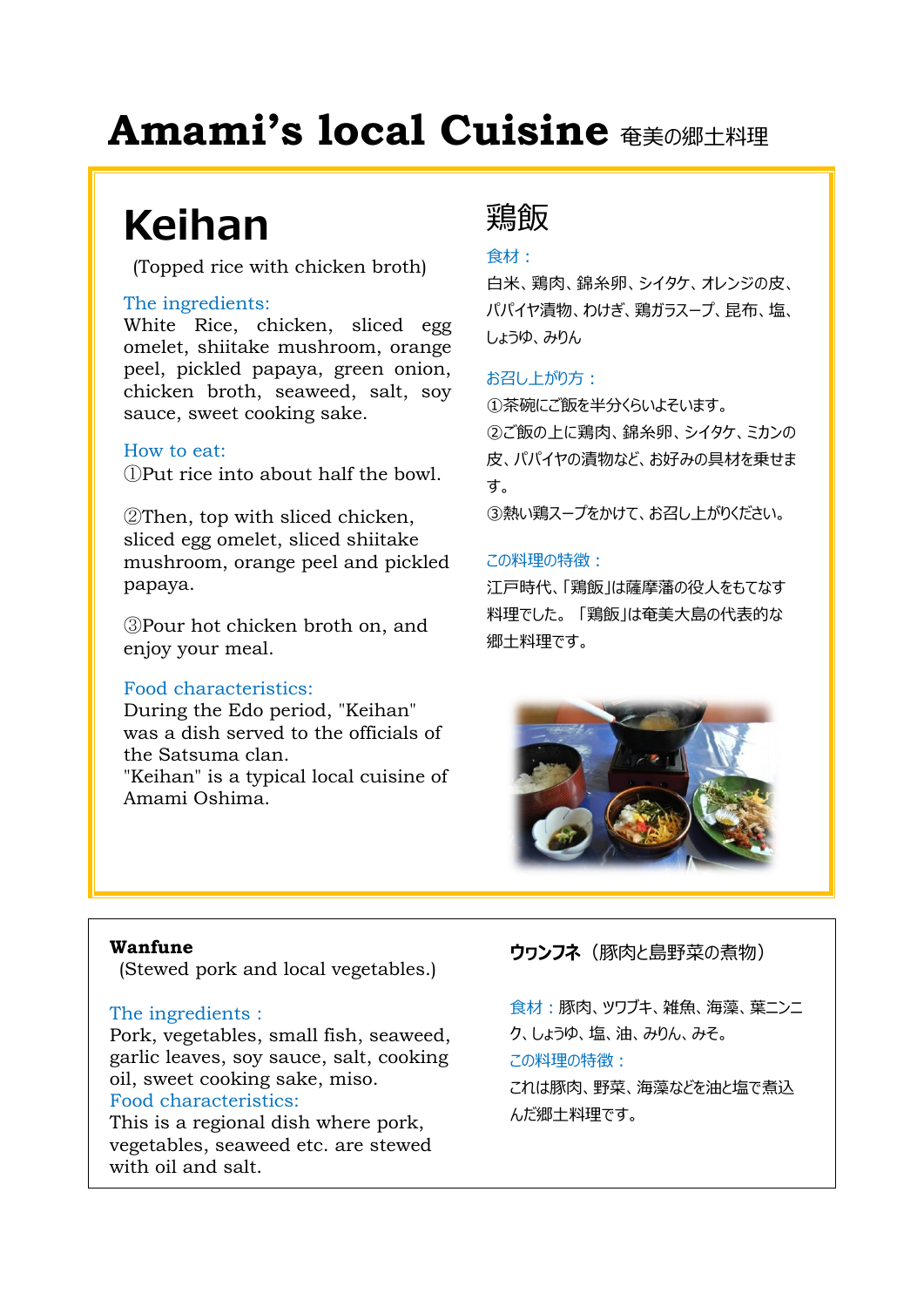# **Amami's local Cuisine**  $\text{A}_{\text{H}}$

# **Keihan**

(Topped rice with chicken broth)

#### The ingredients:

White Rice, chicken, sliced egg omelet, shiitake mushroom, orange peel, pickled papaya, green onion, chicken broth, seaweed, salt, soy sauce, sweet cooking sake.

#### How to eat:

①Put rice into about half the bowl.

②Then, top with sliced chicken, sliced egg omelet, sliced shiitake mushroom, orange peel and pickled papaya.

③Pour hot chicken broth on, and enjoy your meal.

#### Food characteristics:

During the Edo period, "Keihan" was a dish served to the officials of the Satsuma clan. "Keihan" is a typical local cuisine of Amami Oshima.

# 鶏飯

#### 食材:

白米、鶏肉、錦糸卵、シイタケ、オレンジの皮、 パパイヤ漬物、わけぎ、鶏ガラスープ、昆布、塩、 しょうゆ、みりん

#### お召し上がり方:

①茶碗にご飯を半分くらいよそいます。 ②ご飯の上に鶏肉、錦糸卵、シイタケ、ミカンの 皮、パパイヤの漬物など、お好みの具材を乗せま す。

③熱い鶏スープをかけて、お召し上がりください。

#### この料理の特徴:

江戸時代、「鶏飯」は薩摩藩の役人をもてなす 料理でした。 「鶏飯」は奄美大島の代表的な 郷土料理です。



#### **Wanfune**

(Stewed pork and local vegetables.)

#### The ingredients :

Pork, vegetables, small fish, seaweed, garlic leaves, soy sauce, salt, cooking oil, sweet cooking sake, miso. Food characteristics:

This is a regional dish where pork, vegetables, seaweed etc. are stewed with oil and salt.

**ウヮンフネ**(豚肉と島野菜の煮物)

食材:豚肉、ツワブキ、雑魚、海藻、葉ニンニ ク、しょうゆ、塩、油、みりん、みそ。 この料理の特徴: これは豚肉、野菜、海藻などを油と塩で煮込 んだ郷土料理です。